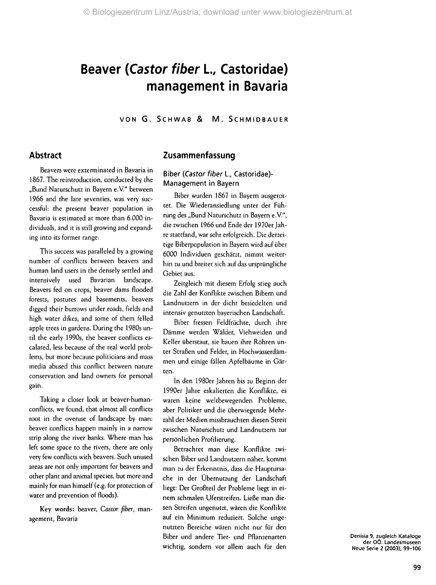## **Beaver (Castor fiber L, Castoridae) management in Bavaria**

VON G. SCHWAB & M. SCHMIDBAUER

## **Abstract**

Beavers were exterminated in Bavaria in 1867. The reintroduction, conducted by the "Bund Naturschutz in Bayern e.V." between 1966 and the late seventies, was very successful: the present beaver population in Bavaria is estimated at more than 6.000 individuals, and it is still growing and expanding into its former range.

This success was paralleled by a growing number of conflicts between beavers and human land users in the densely settled and intensively used Bavarian landscape. Beavers fed on crops, beaver dams flooded forests, pastures and basements, beavers digged their burrows under roads, fields and high water dikes, and some of them felled apple trees in gardens. During the 1980s until the early 1990s, the beaver conflicts escalated, less because of the real world problems, but more because politicians and mass media abused this conflict between nature conservation and land owners for personal gain.

Taking a closer look at beaver-humanconflicts, we found, that almost all conflicts root in the overuse of landscape by man: beaver conflicts happen mainly in a narrow strip along the river banks. Where man has left some space to the rivers, there are only very few conflicts with beavers. Such unused areas are not only important for beavers and other plant and animal species, but more and mainly for man himself (e.g. for protection of water and prevention of floods).

Key words: beaver, Castor *fiber,* management, Bavaria

## **Zusammenfassung**

## Biber {Castor fiber L, Castoridae)- Management in Bayern

Biber wurden 1867 in Bayern ausgerottet. Die Wiederansiedlung unter der Führung des "Bund Naturschutz in Bayern e.V.", die zwischen 1966 und Ende der 1970er Jahre stattfand, war sehr erfolgreich. Die derzeitige Biberpopulation in Bayern wird auf über 6000 Individuen geschätzt, nimmt weiterhin zu und breitet sich auf das ursprüngliche Gebiet aus.

Zeitgleich mit diesem Erfolg stieg auch die Zahl der Konflikte zwischen Bibern und Landnutzern in der dicht besiedelten und intensiv genutzten bayerischen Landschaft.

Biber fressen Feldfrüchte, durch ihre Dämme werden Wälder, Viehweiden und Keller überstaut, sie bauen ihre Röhren unter Straßen und Felder, in Hochwasserdämmen und einige fällen Apfelbäume in Gärten.

In den 1980er Jahren bis zu Beginn der 1990er Jahre eskalierten die Konflikte, es waren keine weltbewegenden Probleme, aber Politiker und die überwiegende Mehrzahl der Medien missbrauchten diesen Streit zwischen Naturschutz und Landnutzern zur persönlichen Profilierung.

Betrachtet man diese Konflikte zwischen Biber und Landnutzern näher, kommt man zu der Erkenntnis, dass die Hauptursache in der Übernutzung der Landschaft liegt: Der Großteil der Probleme liegt in einem schmalen Uferstreifen. Ließe man diesen Streifen ungenutzt, wären die Konflikte auf ein Minimum reduziert. Solche ungenutzten Bereiche wären nicht nur für den Biber und andere Tier- und Pflanzenarten wichtig, sondern vor allem auch für den

Denisia 9, zugleich Kataloge der OÖ. Landesmuseen Neue Serie 2 (2003), 99-106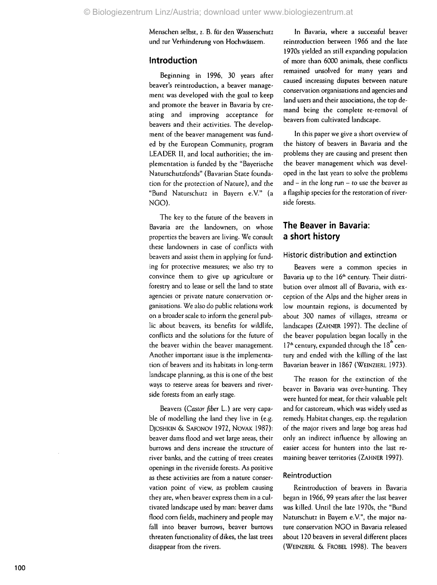Mensche n selbst, z . B . für de n Wasserschut z un d zur Verhinderun g vo n Hochwässern .

## **Introductio n**

Beginnin g i n 1996 , 3 0 year s afte r beaver' s reintroduction , a beave r manage men t wa s develope d wit h th e goa l t o kee p an d promot e th e beave r i n Bavari a b y cre atin g an d improvin g acceptanc e for beaver s an d thei r activities . Th e develop men t o f th e beave r managemen t wa s fund e d b y th e Europea n Community , progra m LEADER II, and local authorities; the implementatio n i s funde d b y th e "Bayerisch e Naturschutzfonds" (Bavarian State foundation for the protection of Nature), and the "Bun d Naturschut z i n Bayer n e.V. " ( a NGO).

Th e key t o th e future o f th e beaver s i n Bavari a ar e th e landowners , o n whos e propertie s th e beaver s ar e living . W e consul t thes e landowner s i n cas e o f conflict s wit h beaver s an d assis t the m i n applyin g for fund in g for protectiv e measures ; w e als o try t o convinc e the m t o giv e u p agricultur e o r forestry an d t o leas e o r sel l th e lan d t o stat e agencies or private nature conservation organisations . W e als o d o publi c relation s work o n a broade r scal e t o inform th e genera l pub li c abou t beavers , it s benefit s for wildlife , conflict s an d th e solution s for th e futur e of th e beave r withi n th e beave r management . Another important issue is the implementation of beavers and its habitats in long-term landscape planning, as this is one of the best way s t o reserv e area s for beaver s an d river sid e forest s from a n earl y stage .

Beaver s *(Castor fiber* L. ) ar e very capa ble of modelling the land they live in (e.g. Djoshkin & Safonov 1972, Novak 1987): beave r dam s floo d an d we t larg e areas , thei r burrow s an d den s increas e th e structur e o f rive r banks , an d th e cuttin g of tree s create s opening s i n th e riversid e forests . A s positiv e as these activities are from a nature conservatio n poin t of view , a s proble m causin g the y are , whe n beave r expres s the m i n a cul tivated landscape used by man: beaver dams flood corn fields, machinery and people may fall into beaver burrows, beaver burrows threaten functionality of dikes, the last trees disappea r fro m th e rivers .

I n Bavaria , wher e a successfu l beave r reintroductio n betwee n 196 6 an d th e lat e 1970 s yielde d a n stil l expandin g populatio n o f mor e tha n 600 0 animals , thes e conflict s remained unsolved for many years and cause d increasin g dispute s betwee n natur e conservatio n organisation s an d agencie s an d land users and their associations, the top deman d bein g th e complet e re-remova l of beaver s fro m cultivate d landscape .

In this paper we give a short overview of th e history o f beaver s i n Bavari a an d th e problems they are causing and present then th e beave r managemen t whic h wa s devel ope d i n th e las t year s t o solv e th e problem s and – in the long run – to use the beaver as a flagshi p specie s for th e restoratio n o f river sid e forests .

## **Th e Beave r i n Bavaria : a short history**

#### Histori c distributio n an d extinctio n

Beaver s were a commo n specie s i n Bavaria up to the 16<sup>th</sup> century. Their distributio n ove r almos t al l o f Bavaria , wit h ex ceptio n of th e Alp s an d th e highe r area s i n lo w mountai n regions , i s documente d by abou t 30 0 name s of villages , stream s o r landscape s (ZAHNER 1997) . Th e declin e of th e beave r populatio n bega n locall y i n th e l 7ª century, expanded through the 18" centur y an d ende d wit h th e killin g o f th e las t Bavaria n beave r i n 186 7 (WEINZIER L 1973) .

Th e reaso n for th e extinctio n of th e beave r i n Bavari a wa s over-hunting . The y wer e hunte d for meat , for thei r valuable pel t an d for castoreum , whic h wa s widel y use d a s remedy . Habita t changes , esp . th e regulatio n o f th e majo r river s an d larg e bo g area s ha d onl y a n indirec t influenc e by allowin g a n easier access for hunters into the last remainin g beave r territorie s (ZAHNER 1997) .

#### Reintroductio n

Reintroductio n of beaver s i n Bavari a bega n i n 1966 , 9 9 year s afte r th e las t beave r was killed. Until the late 1970s, the "Bund Naturschut z i n Bayern e.V." , th e majo r na tur e conservatio n NG O i n Bavari a release d abou t 12 0 beaver s i n severa l differen t place s (WEINZIER L & FROBEL 1998) . Th e beaver s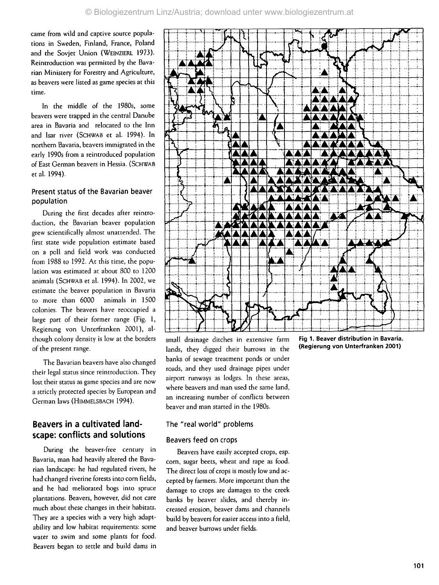came from wild and captive source populations in Sweden, Finland, France, Poland and the Sovjet Union (WEINZIERL 1973). Reintroduction was permitted by the Bavarian Ministery for Forestry and Agriculture, as beavers were listed as game species at this time.

In the middle of the 1980s, some beavers were trapped in the central Danube area in Bavaria and relocated to the Inn and Isar river (SCHWAB et al. 1994). In northern Bavaria, beavers immigrated in the early 1990s from a reintroduced population of East German beavers in Hessia. (SCHWAB et al. 1994).

## Present status of the Bavarian beaver population

During the first decades after reintroduction, the Bavarian beaver population grew scientifically almost unattended. The first state wide population estimate based on a poll and field work was conducted from 1988 to 1992. At this time, the population was estimated at about 800 to 1200 animals (SCHWAB et al. 1994). In 2002, we estimate the beaver population in Bavaria to more than 6000 animals in 1500 colonies. The beavers have reoccupied a large part of their former range (Fig. 1, Regierung von Unterfranken 2001), although colony density is low at the borders of the present range.

The Bavarian beavers have also changed their legal status since reintroduction. They lost their status as game species and are now a strictly protected species by European and German laws (HIMMELSBACH 1994).

## **Beavers in a cultivated landscape: conflicts and solutions**

During the beaver-free century in Bavaria, man had heavily altered the Bavarian landscape: he had regulated rivers, he had changed riverine forests into corn fields, and he had meliorated bogs into spruce plantations. Beavers, however, did not care much about these changes in their habitats. They are a species with a very high adaptability and low habitat requirements: some water to swim and some plants for food. Beavers began to settle and build dams in



lands, they digged their burrows in the banks of sewage treatment ponds or under roads, and they used drainage pipes under airport runways as lodges. In these areas, where beavers and man used the same land, an increasing number of conflicts between beaver and man started in the 1980s.

## The "real world" problems

#### Beavers feed on crops

Beavers have easily accepted crops, esp. corn, sugar beets, wheat and rape as food. The direct loss of crops is mostly low and accepted by farmers. More important than the damage to crops are damages to the creek banks by beaver slides, and thereby increased erosion, beaver dams and channels build by beavers for easier access into a field, and beaver burrows under fields.

**Fig 1. Beaver distribution in Bavaria. (Regierung von Unterfranken 2001)**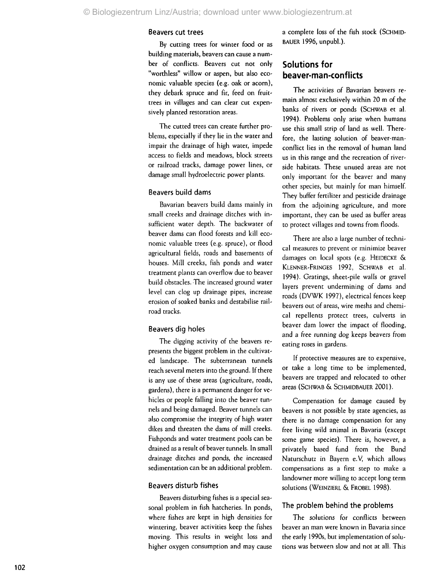#### Beaver s cu t tree s

By cutting trees for winter food or as buildin g materials , beaver s ca n caus e a num be r o f conflicts . Beaver s cu t no t onl y "worthless " willo w o r aspen , bu t als o eco nomi c valuable specie s (e.g . oa k o r acorn) , the y debar k spruc e an d fir , fee d o n fruit trees in villages and can clear cut expensivel y plante d restoratio n areas .

Th e cutte d tree s ca n creat e furthe r pro blems, especially if they lie in the water and impai r th e drainag e of hig h water , imped e acces s t o field s an d meadows , bloc k street s o r railroa d tracks , damag e powe r lines , o r damag e smal l hydroelectri c powe r plants .

#### Beaver s buil d dam s

Bavaria n beaver s buil d dam s mainl y i n smal l creek s an d drainag e ditche s wit h in sufficien t wate r depth . Th e backwate r o f beave r dam s ca n floo d forest s an d kil l eco nomi c valuabl e tree s (e.g . spruce) , o r floo d agricultural fields, roads and basements of houses . Mil l creeks , fis h pond s an d wate r treatmen t plant s ca n overflo w du e t o beave r buil d obstacles . Th e increase d groun d wate r leve l ca n clo g u p drainag e pipes , increas e erosio n of soake d bank s an d destabilis e rail roa d tracks .

#### Beaver s di g hole s

Th e diggin g activit y of th e beaver s re present s th e bigges t proble m i n th e cultivat e d landscape . Th e subterranea n tunnel s reac h severa l meter s int o th e ground . If ther e i s an y us e of thes e area s (agriculture , roads , gardens) , ther e i s a permanen t dange r for ve hicles or people falling into the beaver tunnel s an d bein g damaged . Beave r tunnel s ca n als o compromis e th e integrit y o f hig h wate r dike s an d threate n th e dam s of mil l creeks . Fishpond s an d wate r treatmen t pool s ca n b e draine d a s a resul t o f beave r tunnels . I n smal l drainag e ditche s an d ponds , th e increase d sedimentatio n ca n b e a n additiona l problem .

#### Beaver s distur b fishe s

Beaver s disturbin g fishe s i s a specia l sea sona l proble m i n fis h hatcheries . I n ponds , wher e fishe s ar e kep t i n hig h densitie s for wintering , beave r activitie s kee p th e fishe s moving . Thi s result s i n weigh t los s an d highe r oxyge n consumptio n an d may caus e

a complet e los s o f th e fis h stoc k (SCHMID-BAUER 1996, unpubl.).

## **Solution s fo r beaver-man-conflict s**

The activities of Bavarian beavers remai n almos t exclusivel y withi n 2 0 m o f th e banks of rivers or ponds (SCHWAB et al. 1994) . Problem s onl y aris e whe n human s us e thi s smal l stri p of lan d a s well . There fore , th e lastin g solutio n of beaver-man conflic t lie s i n th e remova l of huma n lan d us in this range and the recreation of riversid e habitats . Thes e unuse d area s ar e no t onl y importan t for th e beave r an d man y othe r species , but mainl y for ma n himself. They buffer fertilizer and pesticide drainage from the adjoining agriculture, and more important , the y ca n b e use d a s buffer area s t o protec t village s an d town s fro m floods .

There are also a large number of technica l measure s t o preven t o r minimiz e beave r damage s o n loca l spot s (e.g . HEIDECKE & Klenner-Fringes 1992, Schwab et al. 1994). Gratings, sheet-pile walls or gravel layer s preven t underminin g o f dam s an d road s (DVW K 1997) , electrica l fence s kee p beaver s ou t of areas , wire mesh s an d chemi ca l repellent s protec t trees , culvert s i n beave r da m lowe r th e impac t of flooding , an d a fre e runnin g do g keep s beaver s fro m eating roses in gardens.

If protective measures are to expensive, o r tak e a lon g tim e t o b e implemented , beaver s ar e trappe d an d relocate d t o othe r area s (SCHWA B & SCHMIDBAUE R 2001) .

Compensatio n for damag e cause d b y beaver s i s no t possibl e by stat e agencies , a s there is no damage compensation for any fre e livin g wil d anima l i n Bavari a (excep t som e gam e species) . Ther e is , however , a privatel y base d fund fro m th e Bun d Naturschutz in Bayern e.V, which allows compensations as a first step to make a landowner more willing to accept long term solution s (WEINZIER L & FROBEL 1998) .

#### Th e proble m behin d th e problem s

Th e solution s for conflict s betwee n beave r a n ma n were know n i n Bavari a sinc e th e earl y 1990s , bu t implementatio n o f solu tions was between slow and not at all. This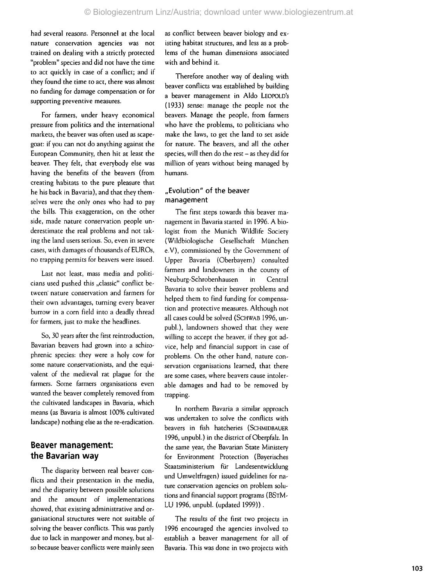had several reasons. Personnel at the local natur e conservatio n agencie s wa s no t traine d o n dealin g wit h a strictl y protecte d "problem " specie s an d di d no t hav e th e tim e t o ac t quickl y i n cas e o f a conflict ; an d if they found the time to act, there was almost n o fundin g for damag e compensatio n o r for supportin g preventiv e measures .

Fo r farmers , unde r heav y economica l pressur e fro m politic s an d th e internationa l markets , th e beave r wa s ofte n use d a s scape goat : if yo u ca n no t d o anythin g agains t th e European Community, then hit at least the beaver . The y felt , tha t everybod y els e wa s havin g th e benefit s o f th e beaver s (fro m creatin g habitat s t o th e pur e pleasur e tha t h e hi s bac k i n Bavaria), an d tha t the y them selve s wer e th e onl y one s wh o ha d t o pay th e bills . Thi s exaggeration , o n th e othe r side, made nature conservation people underestimat e th e rea l problem s an d no t tak in g th e lan d user s serious . So , eve n i n sever e cases , wit h damage s o f thousand s o f EUROs , n o trappin g permit s for beaver s were issued .

Las t no t least , mas s medi a an d politi cian s use d pushe d thi s "classic " conflic t between nature conservation and farmers for thei r ow n advantages , turnin g every beave r burro w i n a cor n fiel d int o a deadl y threa d for farmers , jus t t o mak e th e headlines .

So , 3 0 year s after th e firs t reintroduction , Bavaria n beaver s ha d grow n int o a schizo phreni c species : the y were a hol y co w for som e natur e conservationists , an d th e equi valen t of th e medieva l ra t plagu e for th e farmers. Some farmers organisations even wante d th e beave r completel y remove d from th e cultivated landscape s i n Bavaria , whic h mean s (a s Bavari a i s almos t 100 % cultivate d landscape ) nothin g els e a s th e re-eradication .

## **Beave r management : th e Bavaria n wa y**

Th e disparit y betwee n rea l beave r con flicts and their presentation in the media, an d th e disparit y betwee n possibl e solution s an d th e amoun t o f implementation s showed , tha t existin g administrativ e an d or ganisationa l structure s wer e no t suitabl e of solvin g th e beave r conflicts . Thi s wa s partl y du e t o lac k i n manpowe r an d money , bu t al s o becaus e beave r conflict s wer e mainl y see n a s conflic t betwee n beave r biolog y an d ex isting habitat structures, and less as a problem s o f th e huma n dimension s associate d wit h an d behin d it .

Therefore another way of dealing with beave r conflict s wa s establishe d b y buildin g a beave r managemen t i n Ald o LEOPOLD' S (1933 ) sense : manag e th e peopl e no t th e beavers . Manag e th e people , fro m farmer s wh o hav e th e problems , t o politician s wh o mak e th e laws , t o ge t th e lan d t o se t asid e for nature . Th e beavers , an d al l th e othe r species , wil l the n d o th e res t - a s the y di d for millio n o f year s withou t bein g manage d by humans .

## "Evolution" of the beaver managemen t

The first steps towards this beaver management in Bavaria started in 1996. A biologis t fro m th e Munic h Wildlife Societ y (Wildbiologisch e Gesellschaft Münche n e.V) , commissione d b y th e Governmen t of Uppe r Bavari a (Oberbayern ) consulte d farmer s an d landowner s i n th e count y o f Neuburg-Schrobenhause n i n Centra l Bavari a t o solv e thei r beave r problem s an d helpe d the m t o fin d fundin g for compensa tio n an d protectiv e measures . Althoug h no t al l case s coul d b e solve d (SCHWA B 1996 , un publ.), landowners showed that they were willing to accept the beaver, if they got advice , hel p an d financia l suppor t i n cas e of problems . O n th e othe r hand , natur e con servation organisations learned, that there ar e som e cases , wher e beaver s caus e intoler abl e damage s an d ha d t o b e remove d b y trapping .

I n norther n Bavari a a similar approac h wa s undertake n t o solv e th e conflict s with beaver s i n fish hatcherie s (SCHMIDBAUER 1996 , unpubl. ) i n th e distric t of Oberpfalz . I n the same year, the Bavarian State Ministery for Environmen t Protectio n (Bayerische s Staatsministeriu m für Landesentwicklun g un d Umweltfragen ) issue d guideline s for na ture conservation agencies on problem solutions and financial support programs (BSTM-LU 1996 , unpubl . (update d 1999)) .

Th e result s o f th e firs t tw o project s i n 199 6 encourage d th e agencie s involve d t o establis h a beave r managemen t for al l o f Bavaria. This was done in two projects with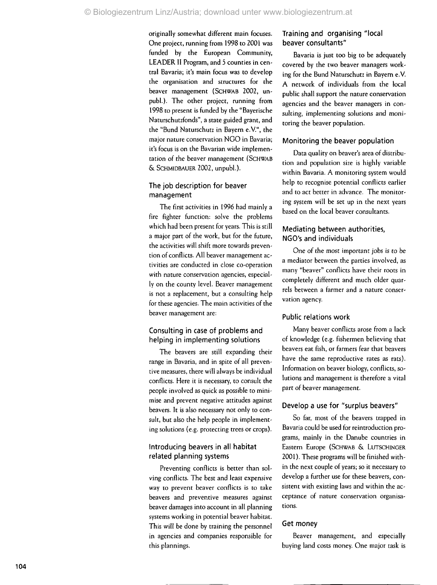originall y somewha t differen t mai n focuses . One project, running from 1998 to 2001 was funde d b y th e Europea n Community , LEADE R II Program , an d 5 countie s i n cen tral Bavaria; it's main focus was to develop th e organisatio n an d structure s for th e beave r managemen t (SCHWAB 2002 , un publ.) . Th e othe r project , runnin g fro m 199 8 t o presen t i s funde d b y th e "Bayerisch e Naturschutzfonds" , a stat e guide d grant , an d th e "Bun d Naturschut z i n Bayern e.V." , th e majo r natur e conservatio n NG O i n Bavaria ; it's focus is on the Bavarian wide implementatio n o f th e beave r managemen t (SCHWAB & SCHMIDBAUE R 2002 , unpubl.) .

### Th e jo b descriptio n fo r beave r managemen t

Th e firs t activitie s i n 199 6 ha d mainl y a fire fighte r function : solv e th e problem s whic h ha d bee n presen t for years . Thi s i s stil l a majo r par t of th e work , but for th e future , the activities will shift more towards prevention of conflicts. All beaver management activitie s ar e conducte d i n clos e co-operatio n wit h natur e conservatio n agencies , especial ly o n th e count y level . Beave r managemen t i s no t a replacement , but a consultin g hel p for thes e agencies . Th e mai n activitie s of th e beave r managemen t are :

## Consultin g i n case o f problem s an d helpin g i n implementin g solution s

The beavers are still expanding their rang e i n Bavaria , an d i n spit e o f al l preven tiv e measures , ther e wil l alway s b e individua l conflicts . Her e i t i s necessary , t o consul t th e peopl e involve d a s quic k a s possibl e t o mini mis e an d preven t negativ e attitude s agains t beavers. It is also necessary not only to consult, but also the help people in implementin g solution s (e.g . protectin g tree s o r crops) .

## Introducin g beavers i n all habita t relate d plannin g system s

Preventing conflicts is better than solvin g conflicts . Th e bes t an d leas t expensiv e way t o preven t beave r conflict s i s t o tak e beaver s an d preventiv e measure s agains t beave r damage s int o accoun t i n al l plannin g system s workin g i n potentia l beave r habitat . This will be done by training the personnel i n agencie s an d companie s responsibl e for thi s plannings .

## Training and organising "local beave r consultants "

Bavaria is just too big to be adequately covere d b y th e tw o beave r manager s work in g for th e Bun d Naturschut z i n Bayer n e.V . A networ k o f individual s fro m th e loca l publi c shal l suppor t th e natur e conservatio n agencie s an d th e beave r manager s i n con sulting , implementin g solution s an d moni torin g th e beave r population .

## Monitorin g th e beave r populatio n

Dat a qualit y o n beaver' s are a o f distribu tion and population size is highly variable withi n Bavaria . A monitorin g syste m woul d hel p t o recognis e potentia l conflict s earlier an d t o ac t bette r i n advance . Th e monitor in g syste m wil l b e se t u p i n th e nex t year s base d o n th e loca l beave r consultants .

## Mediatin g betwee n authorities , NGO's an d individual s

On e o f th e mos t importan t job s i s t o b e a mediato r betwee n th e partie s involved , a s man y "beaver " conflict s hav e thei r root s i n completel y differen t an d muc h olde r quar rel s betwee n a farmer an d a natur e conser vatio n agency .

## Publi c relation s wor k

Man y beave r conflict s aros e from a lac k of knowledg e (e.g . fisherme n believin g tha t beaver s ea t fish , o r farmer s fear tha t beaver s hav e th e sam e reproductiv e rate s a s rats) . Informatio n o n beave r biology , conflicts , so lution s an d managemen t i s therefor e a vita l par t o f beave r management .

## Develo p a use fo r "surplu s beavers "

So far, most of the beavers trapped in Bavari a coul d b e use d for reintroductio n pro grams , mainl y i n th e Danub e countrie s i n Easter n Europ e (SCHWA B & LUTSCHINGER 2001) . Thes e program s wil l b e finishe d with i n th e nex t coupl e of years ; s o i t necessary t o develo p a furthe r us e for thes e beavers , con sistent with existing laws and within the acceptanc e of natur e conservatio n organisa tions .

## Ge t mone y t mone y

Beaver management, and especially buying land costs money. One major task is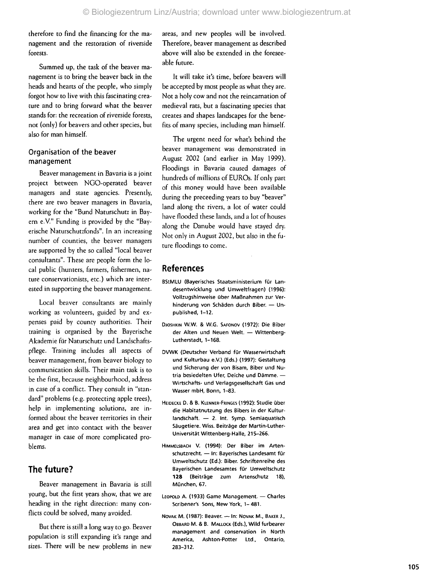therefore to find the financing for the managemen t an d th e restoratio n o f riversid e forests .

Summe d up , th e tas k o f th e beave r ma nagement is to bring the beaver back in the head s an d heart s o f th e people , wh o simpl y forgot how to live with this fascinating creature and to bring forward what the beaver stand s for : th e recreatio n o f riversid e forests , no t (only ) for beaver s an d othe r species , bu t als o for ma n himself.

## Organisatio n o f th e beave r managemen t

Beave r managemen t i n Bavari a i s a join t projec t betwee n NGO-operate d beave r manager s an d stat e agencies . Presently , there are two beaver managers in Bavaria, workin g for th e "Bun d Naturschut z i n Bay ern e.V." Funding is provided by the "Bayerisch e Naturschutzfonds" . I n a n increasin g number of counties, the beaver managers ar e supporte d b y th e s o calle d "loca l beave r consultants" . Thes e ar e peopl e form th e lo ca l publi c (hunters , farmers , fishermen , na ture conservationists, etc.) which are interested in supporting the beaver management.

Local beaver consultants are mainly working as volunteers, guided by and expense s pai d b y count y authorities . Thei r trainin g i s organise d b y th e Bayerisch e Akademi e für Naturschut z un d Landschafts pflege . Trainin g include s al l aspect s of beave r management , from beave r biolog y t o communicatio n skills . Thei r mai n tas k i s t o b e th e first , becaus e neighbourhood , addres s in case of a conflict. They consult in "standard " problem s (e.g . protectin g appl e trees) , help in implementing solutions, are informed about the beaver territories in their are a an d ge t int o contac t wit h th e beave r manage r i n cas e of mor e complicate d pro blems .

## **Th e future ?**

Beaver management in Bavaria is still young , but th e firs t year s show , tha t w e ar e heading in the right direction: many conflict s coul d b e solved , man y avoided .

Bu t ther e i s stil l a lon g way t o go. Beave r population is still expanding it's range and sizes. There will be new problems in new areas , an d ne w people s wil l b e involved . Therefore , beave r managemen t a s describe d abov e wil l als o b e extende d i n th e foresee abl e future .

It will take it's time, before beavers will b e accepte d b y mos t peopl e a s wha t the y are . Not a holy cow and not the reincarnation of medieva l rats , bu t a fascinatin g specie s tha t create s an d shape s landscape s for th e bene fits of many species, including man himself.

The urgent need for what's behind the beave r managemen t wa s demonstrate d i n August 2002 (and earlier in May 1999). Flooding s i n Bavari a cause d damage s o f hundreds of millions of EUROs. If only part o f thi s mone y woul d hav e bee n availabl e during the preceeding years to buy "beaver" land along the rivers, a lot of water could hav e floode d thes e lands , an d a lo t o f house s alon g th e Danub e woul d hav e staye d dry . No t onl y i n Augus t 2002 , bu t als o i n th e future floodings to come.

## **Reference s**

- BStMLU (Bayerisches Staatsministerium für Landesentwicklun g un d Umweltfragen ) (1996) : Vollzugshinweise über Maßnahmen zur Verhinderun g vo n Schäde n durc h Biber . — Un published, 1-12.
- DJOSHKIN W.W. & W.G. SAFONOV (1972): Die Biber de r Alte n un d Neue n Welt . — Wittenberg - Lutherstadt, 1-168.
- DVWK (Deutscher Verband für Wasserwirtschaft un d Kulturba u e.V. ) (Eds. ) (1997) : Gestaltun g un d Sicherun g de r vo n Bisam , Bibe r un d Nu tri a besiedelte n Ufer , Deich e un d Dämme . — Wirtschafts - un d Verlagsgesellschaf t Gas un d Wasser mbH, Bonn, 1-83.
- HEIDECKE D. & B. KLENNER-FRINGES (1992): Studie über di e Habitatnutzun g de s Biber s i n de r Kultur landschaft. — 2. Int. Symp. Semiaquatisch Säugetiere. Wiss. Beiträge der Martin-Luther-Universitä t Wittenberg-Halle , 215-266 .
- HIMMELSBACH V. (1994): Der Biber im Artenschutzrecht. — In: Bayerisches Landesamt für Umweltschut z (Ed.) : Biber . Schriftenreih e de s Bayerische n Landesamte s fü r Umweltschut z 128 (Beiträge zum Artenschutz 18), München , 67 .
- LEOPOLD A. (1933) Game Management. Charles Scribener's Sons, New York, 1– 481.
- Novaк М. (1987): Beaver. In: Novaк М., Вакєв Ј., OBBARD M. & B. MALLOCK (Eds.), Wild furbearer managemen t an d conservatio n i n Nort h America , Ashton-Potter Ltd., Ontario, 283-312 .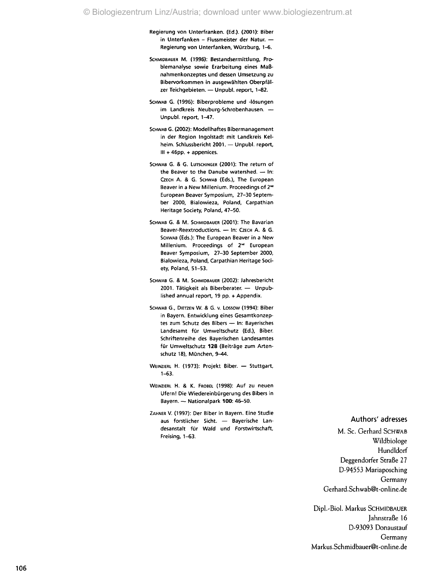Regierung von Unterfranken. (Ed.). (2001): Biber in Unterfanken - Flussmeister der Natur. — Regierung von Unterfanken, Würzburg, 1-6.

- SCHMIDBAUER M. (1996): Bestandsermittlung, Problemanalyse sowie Erarbeitung eines Maßnahmenkonzeptes und dessen Umsetzung zu Bibervorkommen in ausgewählten Oberpfälzer Teichgebieten. — Unpubl. report, 1-82.
- SCHWAB G. (1996): Biberprobleme und -lösungen im Landkreis Neuburg-Schrobenhausen. — Unpubl. report, 1-47.
- SCHWAB G. (2002): Modellhaftes Bibermanagement in der Region Ingolstadt mit Landkreis Kelheim. Schlussbericht 2001. — Unpubl. report, III + 46pp. + appenices.
- SCHWAB G. & G. LUTSCHINGER (2001): The return of the Beaver to the Danube watershed. — In: CZECH A. & G. SCHWAB (Eds.), The European Beaver in a New Millenium. Proceedings of 2<sup>nd</sup> European Beaver Symposium, 27-30 September 2000, Bialowieza, Poland, Carpathian Heritage Society, Poland, 47-50.
- SCHWAB G. & M. SCHMIDBAUER (2001): The Bavarian Beaver-Reextroductions. - In: CZECH A. & G. SCHWAB (Eds.): The European Beaver in a New Millenium. Proceedings of 2<sup>nd</sup> European Beaver Symposium, 27-30 September 2000, Bialowieza, Poland, Carpathian Heritage Society, Poland, 51-53.
- SCHWAB G. & M. SCHMIDBAUER (2002): Jahresbericht 2001. Tätigkeit als Biberberater. — Unpublished annual report, 19 pp. + Appendix.
- SCHWAB G., DIETZEN W. & G. v. Lossow (1994): Biber in Bayern. Entwicklung eines Gesamtkonzeptes zum Schutz des Bibers — In: Bayerisches Landesamt für Umweltschutz (Ed.), Biber. Schriftenreihe des Bayerischen Landesamtes für Umweltschutz **128** (Beiträge zum Artenschutz 18), München, 9-44.
- WEINZIERL H. (1973): Projekt Biber. Stuttgart, 1-63.
- WEINZIERL H. & K. FROBEL (1998): Auf zu neuen Ufern! Die Wiedereinbürgerung des Bibers in Bayern. — Nationalpark **100:** 46-50.
- ZAHNER V. (1997): Der Biber in Bayern. Eine Studie aus forstlicher Sicht. — Bayerische Landesanstalt für Wald und Forstwirtschaft, Freising, 1-63.

#### Authors' adresses

M. Sc. Gerhard SCHWAB Wildbiologe Hundldorf Deggendorfer Straße 27 D-94553 Mariaposching Germany Gerhard.Schwab@t-online.de

Dipl.-Biol. Markus SCHMIDBAUER Jahnstraße 16 D-93093 Donaustauf Germany Markus.Schmidbauer@t-online.de